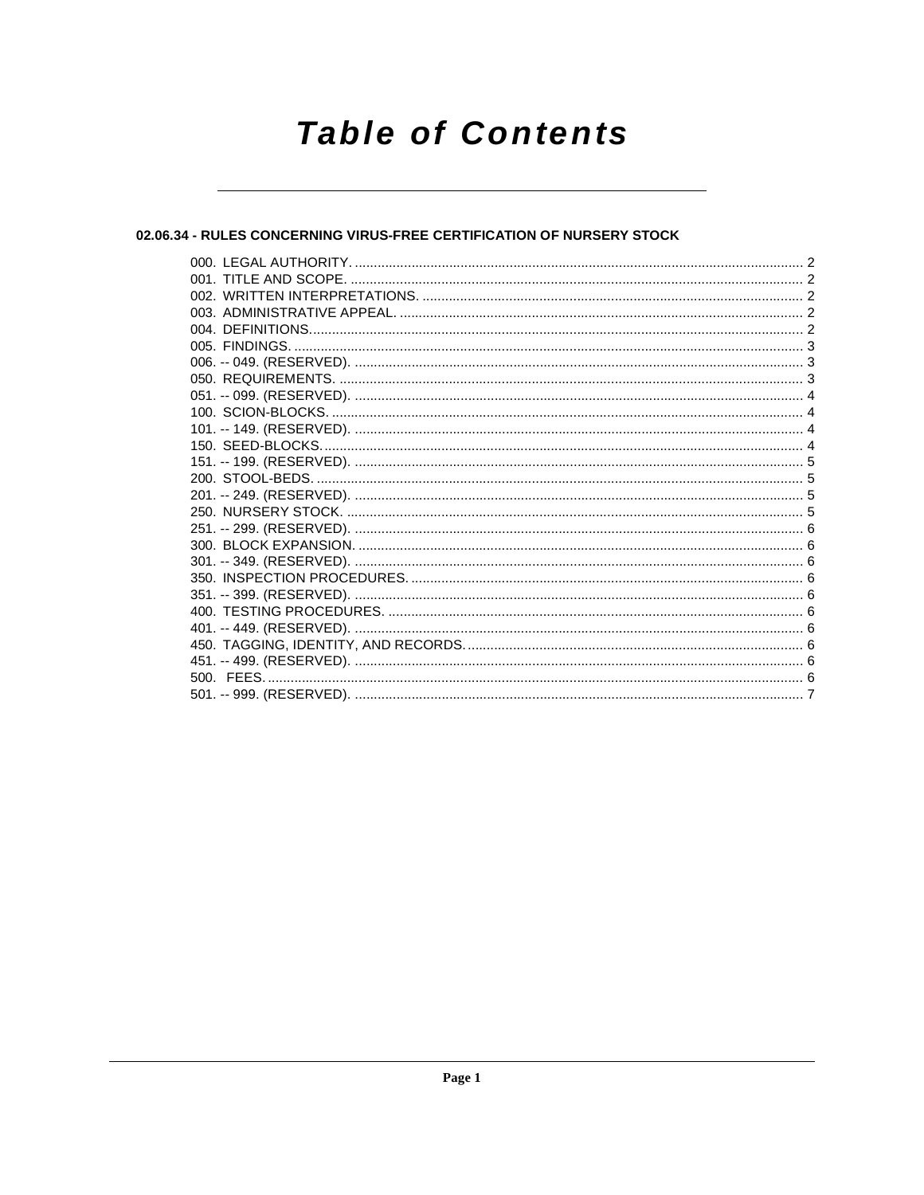# **Table of Contents**

# 02.06.34 - RULES CONCERNING VIRUS-FREE CERTIFICATION OF NURSERY STOCK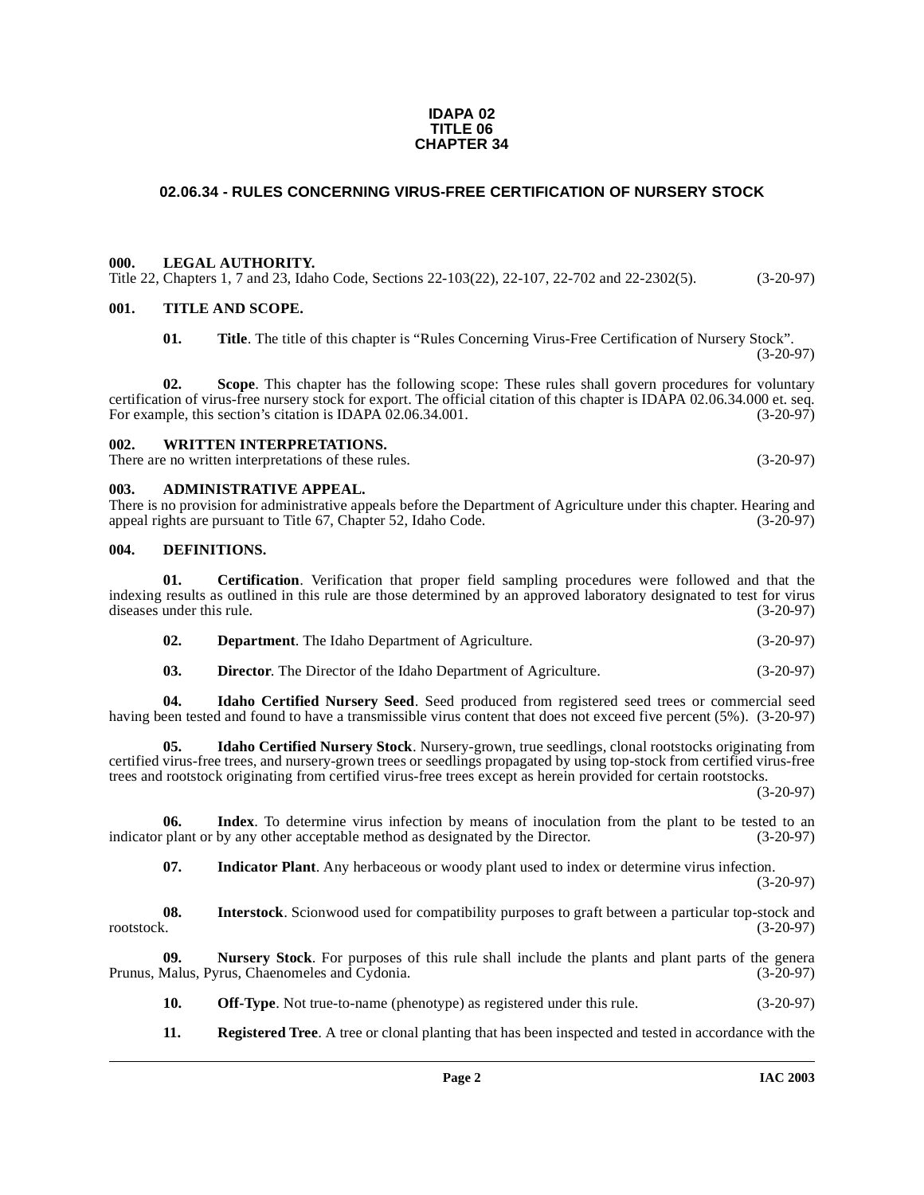#### **IDAPA 02 TITLE 06 CHAPTER 34**

# <span id="page-1-0"></span>**02.06.34 - RULES CONCERNING VIRUS-FREE CERTIFICATION OF NURSERY STOCK**

#### <span id="page-1-1"></span>**000. LEGAL AUTHORITY.**

Title 22, Chapters 1, 7 and 23, Idaho Code, Sections 22-103(22), 22-107, 22-702 and 22-2302(5). (3-20-97)

# <span id="page-1-2"></span>**001. TITLE AND SCOPE.**

**01. Title**. The title of this chapter is "Rules Concerning Virus-Free Certification of Nursery Stock". (3-20-97)

**02. Scope**. This chapter has the following scope: These rules shall govern procedures for voluntary certification of virus-free nursery stock for export. The official citation of this chapter is IDAPA 02.06.34.000 et. seq. For example, this section's citation is IDAPA 02.06.34.001.

#### <span id="page-1-3"></span>**002. WRITTEN INTERPRETATIONS.**

There are no written interpretations of these rules. (3-20-97)

#### <span id="page-1-4"></span>**003. ADMINISTRATIVE APPEAL.**

There is no provision for administrative appeals before the Department of Agriculture under this chapter. Hearing and appeal rights are pursuant to Title 67. Chapter 52. Idaho Code. (3-20-97) appeal rights are pursuant to Title 67, Chapter 52, Idaho Code.

#### <span id="page-1-7"></span><span id="page-1-5"></span>**004. DEFINITIONS.**

**01. Certification**. Verification that proper field sampling procedures were followed and that the indexing results as outlined in this rule are those determined by an approved laboratory designated to test for virus diseases under this rule. (3-20-97) diseases under this rule.

<span id="page-1-6"></span>

| 02. | <b>Department.</b> The Idaho Department of Agriculture. | $(3-20-97)$ |
|-----|---------------------------------------------------------|-------------|
|     |                                                         |             |

<span id="page-1-9"></span><span id="page-1-8"></span>**03. Director**. The Director of the Idaho Department of Agriculture. (3-20-97)

**04. Idaho Certified Nursery Seed**. Seed produced from registered seed trees or commercial seed having been tested and found to have a transmissible virus content that does not exceed five percent (5%). (3-20-97)

**05. Idaho Certified Nursery Stock**. Nursery-grown, true seedlings, clonal rootstocks originating from certified virus-free trees, and nursery-grown trees or seedlings propagated by using top-stock from certified virus-free trees and rootstock originating from certified virus-free trees except as herein provided for certain rootstocks.

(3-20-97)

**06.** Index. To determine virus infection by means of inoculation from the plant to be tested to an plant or by any other acceptable method as designated by the Director. (3-20-97) indicator plant or by any other acceptable method as designated by the Director.

<span id="page-1-12"></span><span id="page-1-11"></span><span id="page-1-10"></span>**07. Indicator Plant**. Any herbaceous or woody plant used to index or determine virus infection. (3-20-97)

**08.** Interstock. Scionwood used for compatibility purposes to graft between a particular top-stock and rootstock. (3-20-97) rootstock. (3-20-97)

**09. Nursery Stock**. For purposes of this rule shall include the plants and plant parts of the genera Prunus, Malus, Pyrus, Chaenomeles and Cydonia.

- <span id="page-1-14"></span><span id="page-1-13"></span>**10. Off-Type**. Not true-to-name (phenotype) as registered under this rule. (3-20-97)
- <span id="page-1-15"></span>**11. Registered Tree**. A tree or clonal planting that has been inspected and tested in accordance with the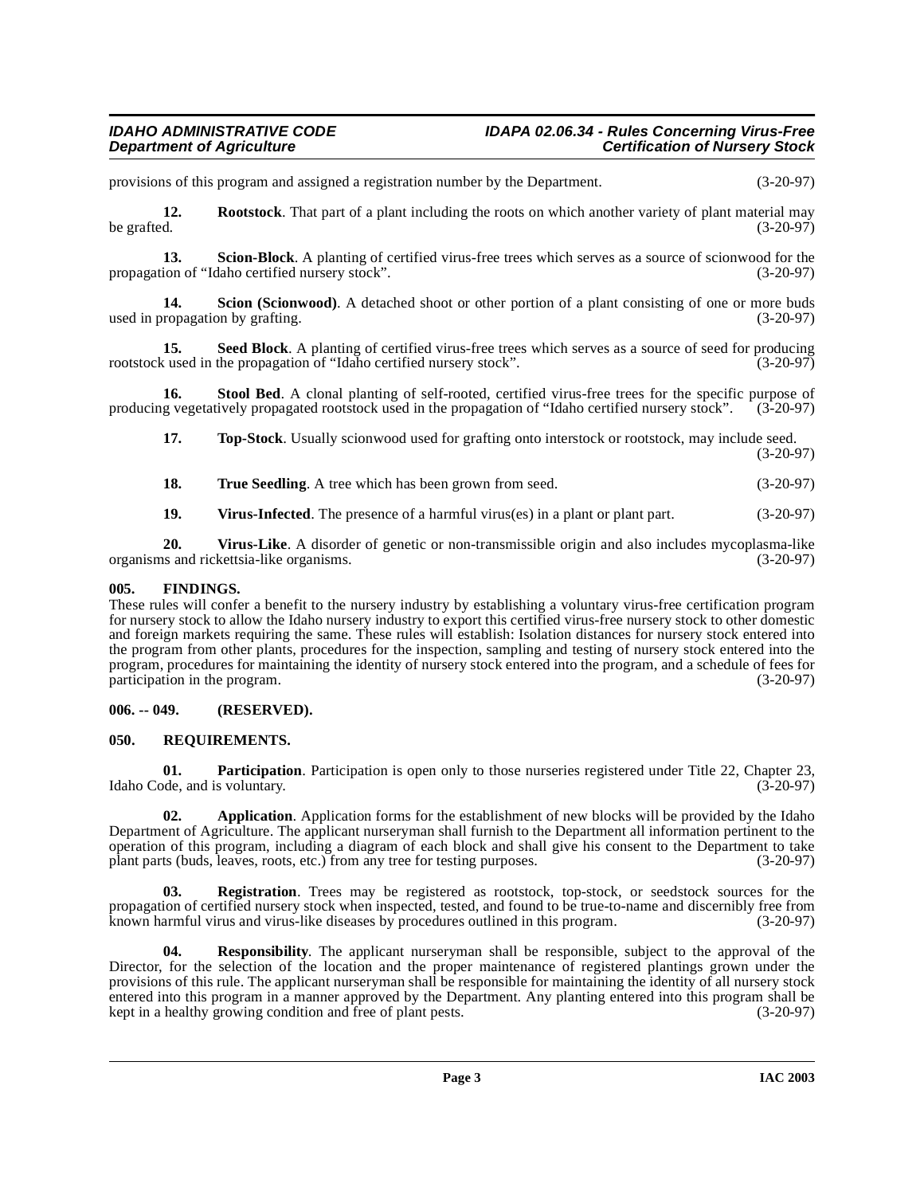# **IDAHO ADMINISTRATIVE CODE IDAPA 02.06.34 - Rules Concerning Virus-Free Certification of Nursery Stock**

provisions of this program and assigned a registration number by the Department. (3-20-97)

<span id="page-2-8"></span>**12. Rootstock**. That part of a plant including the roots on which another variety of plant material may be grafted.  $(3-20-97)$ be grafted.  $(3-20-97)$ 

<span id="page-2-10"></span>**13.** Scion-Block. A planting of certified virus-free trees which serves as a source of scionwood for the ion of "Idaho certified nursery stock". propagation of "Idaho certified nursery stock".

<span id="page-2-9"></span>**14. Scion (Scionwood)**. A detached shoot or other portion of a plant consisting of one or more buds used in propagation by grafting. (3-20-97)

<span id="page-2-11"></span>**15.** Seed Block. A planting of certified virus-free trees which serves as a source of seed for producing tused in the propagation of "Idaho certified nursery stock". (3-20-97) rootstock used in the propagation of "Idaho certified nursery stock".

**16. Stool Bed**. A clonal planting of self-rooted, certified virus-free trees for the specific purpose of producing vegetatively propagated rootstock used in the propagation of "Idaho certified nursery stock". (3-20-97)

<span id="page-2-13"></span><span id="page-2-12"></span>**17. Top-Stock**. Usually scionwood used for grafting onto interstock or rootstock, may include seed. (3-20-97)

<span id="page-2-14"></span>

| 18. | <b>True Seedling.</b> A tree which has been grown from seed. | $(3-20-97)$ |
|-----|--------------------------------------------------------------|-------------|
|-----|--------------------------------------------------------------|-------------|

<span id="page-2-16"></span><span id="page-2-15"></span>**19.** Virus-Infected. The presence of a harmful virus(es) in a plant or plant part. (3-20-97)

**20. Virus-Like**. A disorder of genetic or non-transmissible origin and also includes mycoplasma-like organisms and rickettsia-like organisms.

# <span id="page-2-0"></span>**005. FINDINGS.**

These rules will confer a benefit to the nursery industry by establishing a voluntary virus-free certification program for nursery stock to allow the Idaho nursery industry to export this certified virus-free nursery stock to other domestic and foreign markets requiring the same. These rules will establish: Isolation distances for nursery stock entered into the program from other plants, procedures for the inspection, sampling and testing of nursery stock entered into the program, procedures for maintaining the identity of nursery stock entered into the program, and a schedule of fees for participation in the program. (3-20-97)

# <span id="page-2-1"></span>**006. -- 049. (RESERVED).**

#### <span id="page-2-6"></span><span id="page-2-2"></span>**050. REQUIREMENTS.**

<span id="page-2-4"></span>**01. Participation**. Participation is open only to those nurseries registered under Title 22, Chapter 23, de, and is voluntary. (3-20-97) Idaho Code, and is voluntary.

<span id="page-2-3"></span>**02. Application**. Application forms for the establishment of new blocks will be provided by the Idaho Department of Agriculture. The applicant nurseryman shall furnish to the Department all information pertinent to the operation of this program, including a diagram of each block and shall give his consent to the Department to take<br>plant parts (buds, leaves, roots, etc.) from any tree for testing purposes. (3-20-97) plant parts (buds, leaves, roots, etc.) from any tree for testing purposes.

<span id="page-2-5"></span>**Registration**. Trees may be registered as rootstock, top-stock, or seedstock sources for the propagation of certified nursery stock when inspected, tested, and found to be true-to-name and discernibly free from known harmful virus and virus-like diseases by procedures outlined in this program. (3-20-97)

<span id="page-2-7"></span>**04. Responsibility**. The applicant nurseryman shall be responsible, subject to the approval of the Director, for the selection of the location and the proper maintenance of registered plantings grown under the provisions of this rule. The applicant nurseryman shall be responsible for maintaining the identity of all nursery stock entered into this program in a manner approved by the Department. Any planting entered into this program shall be kept in a healthy growing condition and free of plant pests. (3-20-97) kept in a healthy growing condition and free of plant pests.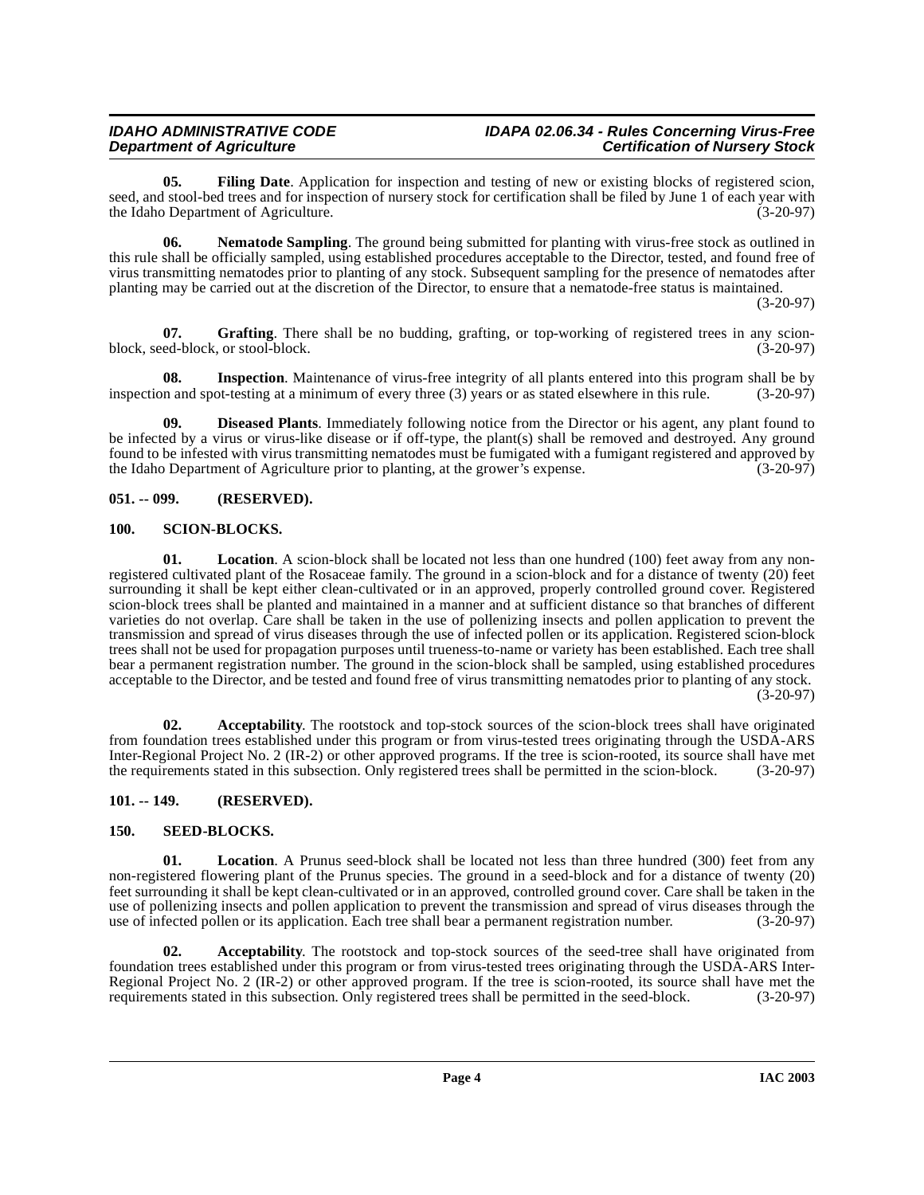# **IDAHO ADMINISTRATIVE CODE IDAPA 02.06.34 - Rules Concerning Virus-Free Certification of Nursery Stock**

**05.** Filing Date. Application for inspection and testing of new or existing blocks of registered scion, seed, and stool-bed trees and for inspection of nursery stock for certification shall be filed by June 1 of each year with the Idaho Department of Agriculture. (3-20-97) the Idaho Department of Agriculture.

<span id="page-3-11"></span>**06. Nematode Sampling**. The ground being submitted for planting with virus-free stock as outlined in this rule shall be officially sampled, using established procedures acceptable to the Director, tested, and found free of virus transmitting nematodes prior to planting of any stock. Subsequent sampling for the presence of nematodes after planting may be carried out at the discretion of the Director, to ensure that a nematode-free status is maintained.

(3-20-97)

<span id="page-3-7"></span>**07.** Grafting. There shall be no budding, grafting, or top-working of registered trees in any scioned-block, or stool-block. (3-20-97) block, seed-block, or stool-block.

<span id="page-3-8"></span>**08. Inspection**. Maintenance of virus-free integrity of all plants entered into this program shall be by inspection and spot-testing at a minimum of every three (3) years or as stated elsewhere in this rule. (3-20-97)

<span id="page-3-6"></span>**09. Diseased Plants**. Immediately following notice from the Director or his agent, any plant found to be infected by a virus or virus-like disease or if off-type, the plant(s) shall be removed and destroyed. Any ground found to be infested with virus transmitting nematodes must be fumigated with a fumigant registered and approved by the Idaho Department of Agriculture prior to planting, at the grower's expense. (3-20-97)

# <span id="page-3-0"></span>**051. -- 099. (RESERVED).**

# <span id="page-3-12"></span><span id="page-3-9"></span><span id="page-3-1"></span>**100. SCION-BLOCKS.**

**01. Location**. A scion-block shall be located not less than one hundred (100) feet away from any nonregistered cultivated plant of the Rosaceae family. The ground in a scion-block and for a distance of twenty (20) feet surrounding it shall be kept either clean-cultivated or in an approved, properly controlled ground cover. Registered scion-block trees shall be planted and maintained in a manner and at sufficient distance so that branches of different varieties do not overlap. Care shall be taken in the use of pollenizing insects and pollen application to prevent the transmission and spread of virus diseases through the use of infected pollen or its application. Registered scion-block trees shall not be used for propagation purposes until trueness-to-name or variety has been established. Each tree shall bear a permanent registration number. The ground in the scion-block shall be sampled, using established procedures acceptable to the Director, and be tested and found free of virus transmitting nematodes prior to planting of any stock.  $(3-20-97)$ 

<span id="page-3-4"></span>**02. Acceptability**. The rootstock and top-stock sources of the scion-block trees shall have originated from foundation trees established under this program or from virus-tested trees originating through the USDA-ARS Inter-Regional Project No. 2 (IR-2) or other approved programs. If the tree is scion-rooted, its source shall have met the requirements stated in this subsection. Only registered trees shall be permitted in the scion-block. (3-20-97)

# <span id="page-3-13"></span><span id="page-3-2"></span>**101. -- 149. (RESERVED).**

# <span id="page-3-3"></span>**150. SEED-BLOCKS.**

<span id="page-3-10"></span>**01.** Location. A Prunus seed-block shall be located not less than three hundred (300) feet from any non-registered flowering plant of the Prunus species. The ground in a seed-block and for a distance of twenty (20) feet surrounding it shall be kept clean-cultivated or in an approved, controlled ground cover. Care shall be taken in the use of pollenizing insects and pollen application to prevent the transmission and spread of virus diseases through the use of infected pollen or its application. Each tree shall bear a permanent registration number. (3-20use of infected pollen or its application. Each tree shall bear a permanent registration number.

<span id="page-3-5"></span>**02. Acceptability**. The rootstock and top-stock sources of the seed-tree shall have originated from foundation trees established under this program or from virus-tested trees originating through the USDA-ARS Inter-Regional Project No. 2 (IR-2) or other approved program. If the tree is scion-rooted, its source shall have met the requirements stated in this subsection. Only registered trees shall be permitted in the seed-block. (3-20requirements stated in this subsection. Only registered trees shall be permitted in the seed-block.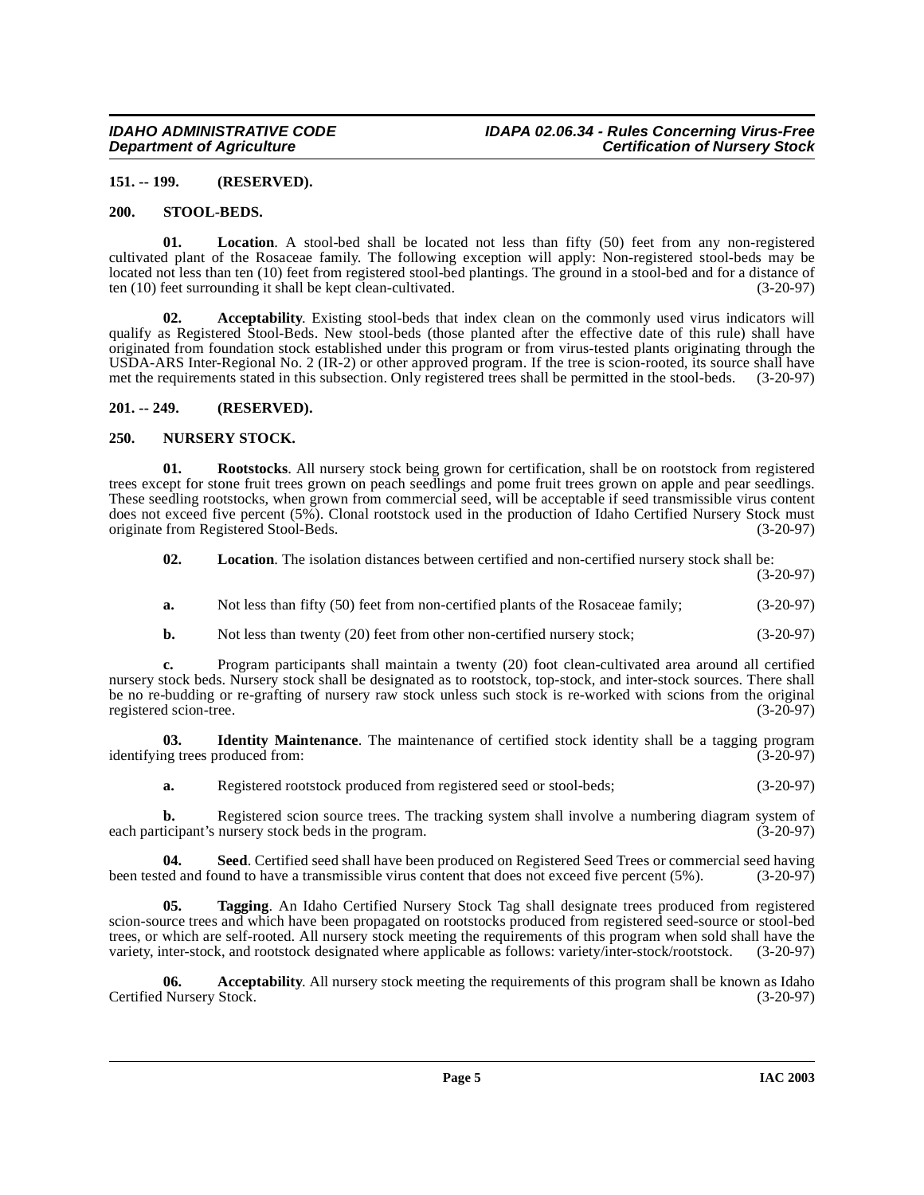#### <span id="page-4-0"></span>**151. -- 199. (RESERVED).**

#### <span id="page-4-11"></span><span id="page-4-1"></span>**200. STOOL-BEDS.**

<span id="page-4-7"></span>**01. Location**. A stool-bed shall be located not less than fifty (50) feet from any non-registered cultivated plant of the Rosaceae family. The following exception will apply: Non-registered stool-beds may be located not less than ten (10) feet from registered stool-bed plantings. The ground in a stool-bed and for a distance of ten (10) feet surrounding it shall be kept clean-cultivated. (3-20-97) ten (10) feet surrounding it shall be kept clean-cultivated.

<span id="page-4-4"></span>**02. Acceptability**. Existing stool-beds that index clean on the commonly used virus indicators will qualify as Registered Stool-Beds. New stool-beds (those planted after the effective date of this rule) shall have originated from foundation stock established under this program or from virus-tested plants originating through the USDA-ARS Inter-Regional No. 2 (IR-2) or other approved program. If the tree is scion-rooted, its source shall have met the requirements stated in this subsection. Only registered trees shall be permitted in the stool-beds. (3-20-97)

#### <span id="page-4-2"></span>**201. -- 249. (RESERVED).**

#### <span id="page-4-8"></span><span id="page-4-3"></span>**250. NURSERY STOCK.**

<span id="page-4-9"></span>**Rootstocks**. All nursery stock being grown for certification, shall be on rootstock from registered trees except for stone fruit trees grown on peach seedlings and pome fruit trees grown on apple and pear seedlings. These seedling rootstocks, when grown from commercial seed, will be acceptable if seed transmissible virus content does not exceed five percent (5%). Clonal rootstock used in the production of Idaho Certified Nursery Stock must originate from Registered Stool-Beds. (3-20-97)

<span id="page-4-6"></span>**02. Location**. The isolation distances between certified and non-certified nursery stock shall be:

(3-20-97)

- **a.** Not less than fifty (50) feet from non-certified plants of the Rosaceae family; (3-20-97)
- **b.** Not less than twenty (20) feet from other non-certified nursery stock; (3-20-97)

**c.** Program participants shall maintain a twenty (20) foot clean-cultivated area around all certified nursery stock beds. Nursery stock shall be designated as to rootstock, top-stock, and inter-stock sources. There shall be no re-budding or re-grafting of nursery raw stock unless such stock is re-worked with scions from the original registered scion-tree. (3-20-97) registered scion-tree.

**03. Identity Maintenance**. The maintenance of certified stock identity shall be a tagging program (3-20-97) (3-20-97) identifying trees produced from:

<span id="page-4-10"></span><span id="page-4-5"></span>**a.** Registered rootstock produced from registered seed or stool-beds; (3-20-97)

**b.** Registered scion source trees. The tracking system shall involve a numbering diagram system of ticipant's nursery stock beds in the program. (3-20-97) each participant's nursery stock beds in the program.

**04.** Seed. Certified seed shall have been produced on Registered Seed Trees or commercial seed having ed and found to have a transmissible virus content that does not exceed five percent (5%). (3-20-97) been tested and found to have a transmissible virus content that does not exceed five percent (5%).

<span id="page-4-12"></span>**05. Tagging**. An Idaho Certified Nursery Stock Tag shall designate trees produced from registered scion-source trees and which have been propagated on rootstocks produced from registered seed-source or stool-bed trees, or which are self-rooted. All nursery stock meeting the requirements of this program when sold shall have the variety, inter-stock, and rootstock designated where applicable as follows: variety/inter-stock/rootstock. (3-20-97)

**06.** Acceptability. All nursery stock meeting the requirements of this program shall be known as Idaho Nursery Stock. (3-20-97) Certified Nursery Stock.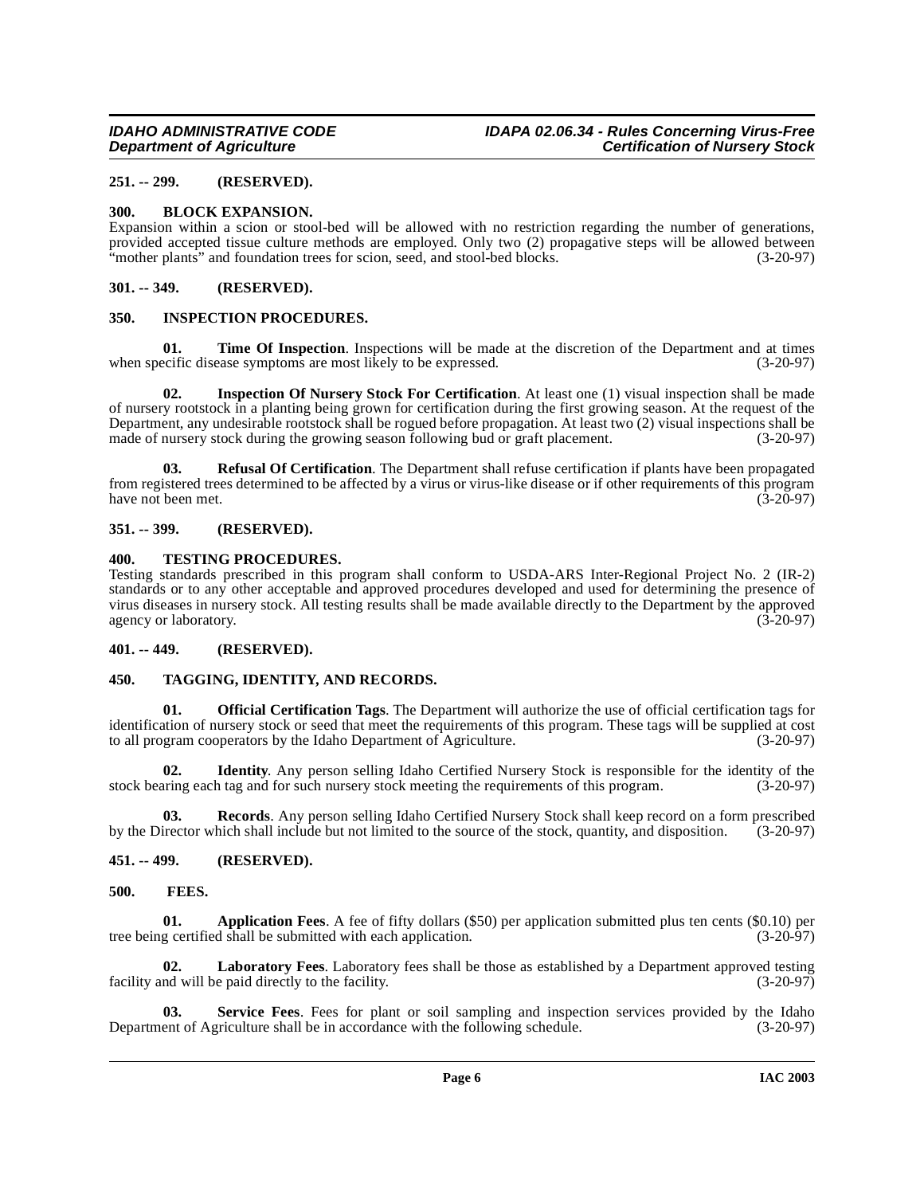# <span id="page-5-0"></span>**251. -- 299. (RESERVED).**

#### <span id="page-5-11"></span><span id="page-5-1"></span>**300. BLOCK EXPANSION.**

Expansion within a scion or stool-bed will be allowed with no restriction regarding the number of generations, provided accepted tissue culture methods are employed. Only two (2) propagative steps will be allowed between "mother plants" and foundation trees for scion, seed, and stool-bed blocks. (3-20-97) "mother plants" and foundation trees for scion, seed, and stool-bed blocks.

#### <span id="page-5-2"></span>**301. -- 349. (RESERVED).**

#### <span id="page-5-15"></span><span id="page-5-3"></span>**350. INSPECTION PROCEDURES.**

<span id="page-5-23"></span>**01. Time Of Inspection**. Inspections will be made at the discretion of the Department and at times ecific disease symptoms are most likely to be expressed. (3-20-97) when specific disease symptoms are most likely to be expressed.

<span id="page-5-14"></span>**02. Inspection Of Nursery Stock For Certification**. At least one (1) visual inspection shall be made of nursery rootstock in a planting being grown for certification during the first growing season. At the request of the Department, any undesirable rootstock shall be rogued before propagation. At least two (2) visual inspections shall be made of nursery stock during the growing season following bud or graft placement. (3-20-97) made of nursery stock during the growing season following bud or graft placement.

<span id="page-5-19"></span>**Refusal Of Certification**. The Department shall refuse certification if plants have been propagated from registered trees determined to be affected by a virus or virus-like disease or if other requirements of this program<br>(3-20-97) have not been met.

#### <span id="page-5-4"></span>**351. -- 399. (RESERVED).**

#### <span id="page-5-22"></span><span id="page-5-5"></span>**400. TESTING PROCEDURES.**

Testing standards prescribed in this program shall conform to USDA-ARS Inter-Regional Project No. 2 (IR-2) standards or to any other acceptable and approved procedures developed and used for determining the presence of virus diseases in nursery stock. All testing results shall be made available directly to the Department by the approved agency or laboratory. (3-20-97)

#### <span id="page-5-6"></span>**401. -- 449. (RESERVED).**

#### <span id="page-5-21"></span><span id="page-5-7"></span>**450. TAGGING, IDENTITY, AND RECORDS.**

<span id="page-5-17"></span>**01. Official Certification Tags**. The Department will authorize the use of official certification tags for identification of nursery stock or seed that meet the requirements of this program. These tags will be supplied at cost to all program cooperators by the Idaho Department of Agriculture. (3-20-97) to all program cooperators by the Idaho Department of Agriculture.

<span id="page-5-13"></span>**02. Identity**. Any person selling Idaho Certified Nursery Stock is responsible for the identity of the iring each tag and for such nursery stock meeting the requirements of this program. (3-20-97) stock bearing each tag and for such nursery stock meeting the requirements of this program.

<span id="page-5-18"></span>**03. Records**. Any person selling Idaho Certified Nursery Stock shall keep record on a form prescribed by the Director which shall include but not limited to the source of the stock, quantity, and disposition. (3-20-97)

# <span id="page-5-8"></span>**451. -- 499. (RESERVED).**

#### <span id="page-5-12"></span><span id="page-5-9"></span>**500. FEES.**

<span id="page-5-10"></span>**01. Application Fees**. A fee of fifty dollars (\$50) per application submitted plus ten cents (\$0.10) per g certified shall be submitted with each application. (3-20-97) tree being certified shall be submitted with each application.

<span id="page-5-16"></span>**02. Laboratory Fees**. Laboratory fees shall be those as established by a Department approved testing facility and will be paid directly to the facility. (3-20-97)

<span id="page-5-20"></span>**03.** Service Fees. Fees for plant or soil sampling and inspection services provided by the Idaho ent of Agriculture shall be in accordance with the following schedule. (3-20-97) Department of Agriculture shall be in accordance with the following schedule.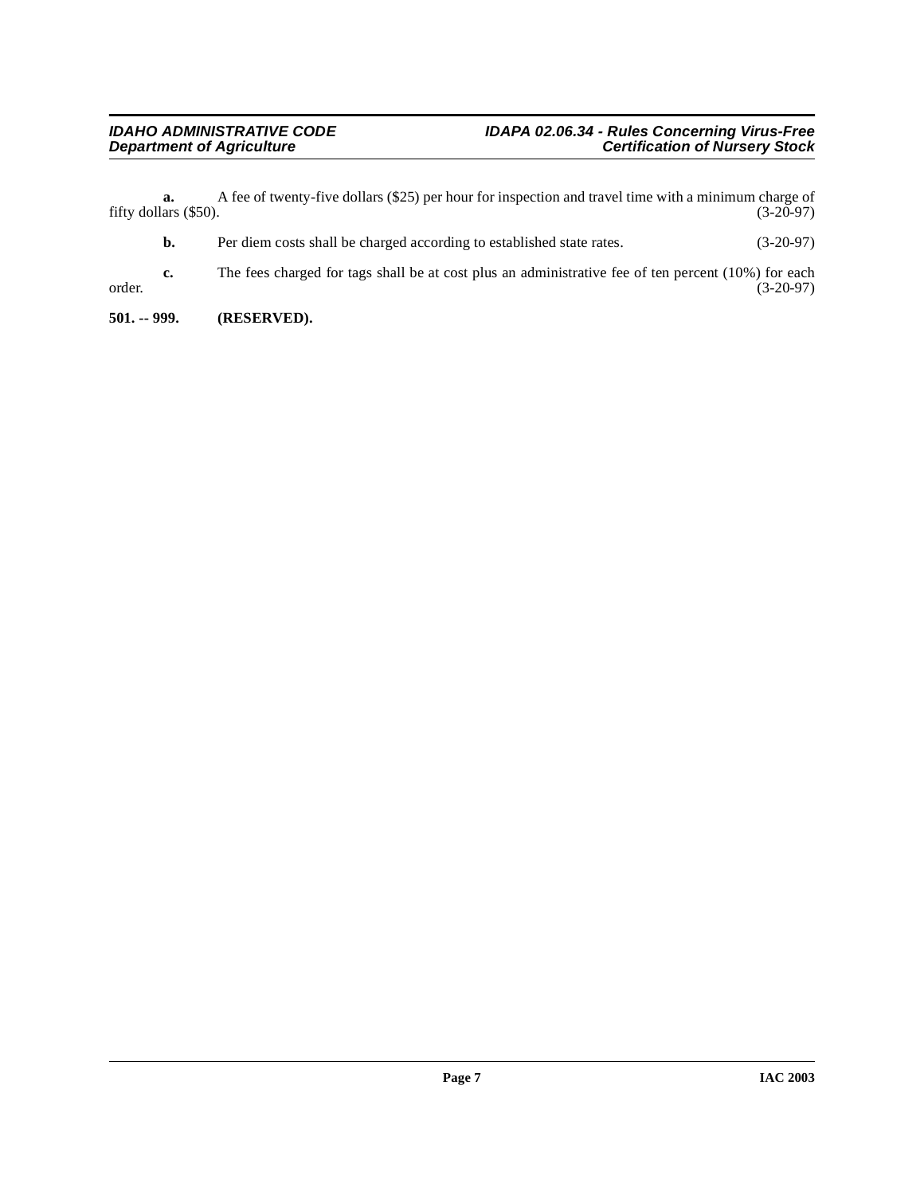**a.** A fee of twenty-five dollars (\$25) per hour for inspection and travel time with a minimum charge of ars (\$50). (3-20-97) fifty dollars (\$50).

- **b.** Per diem costs shall be charged according to established state rates. (3-20-97)
- **c.** The fees charged for tags shall be at cost plus an administrative fee of ten percent (10%) for each (3-20-97) order. (3-20-97)

<span id="page-6-0"></span>**501. -- 999. (RESERVED).**